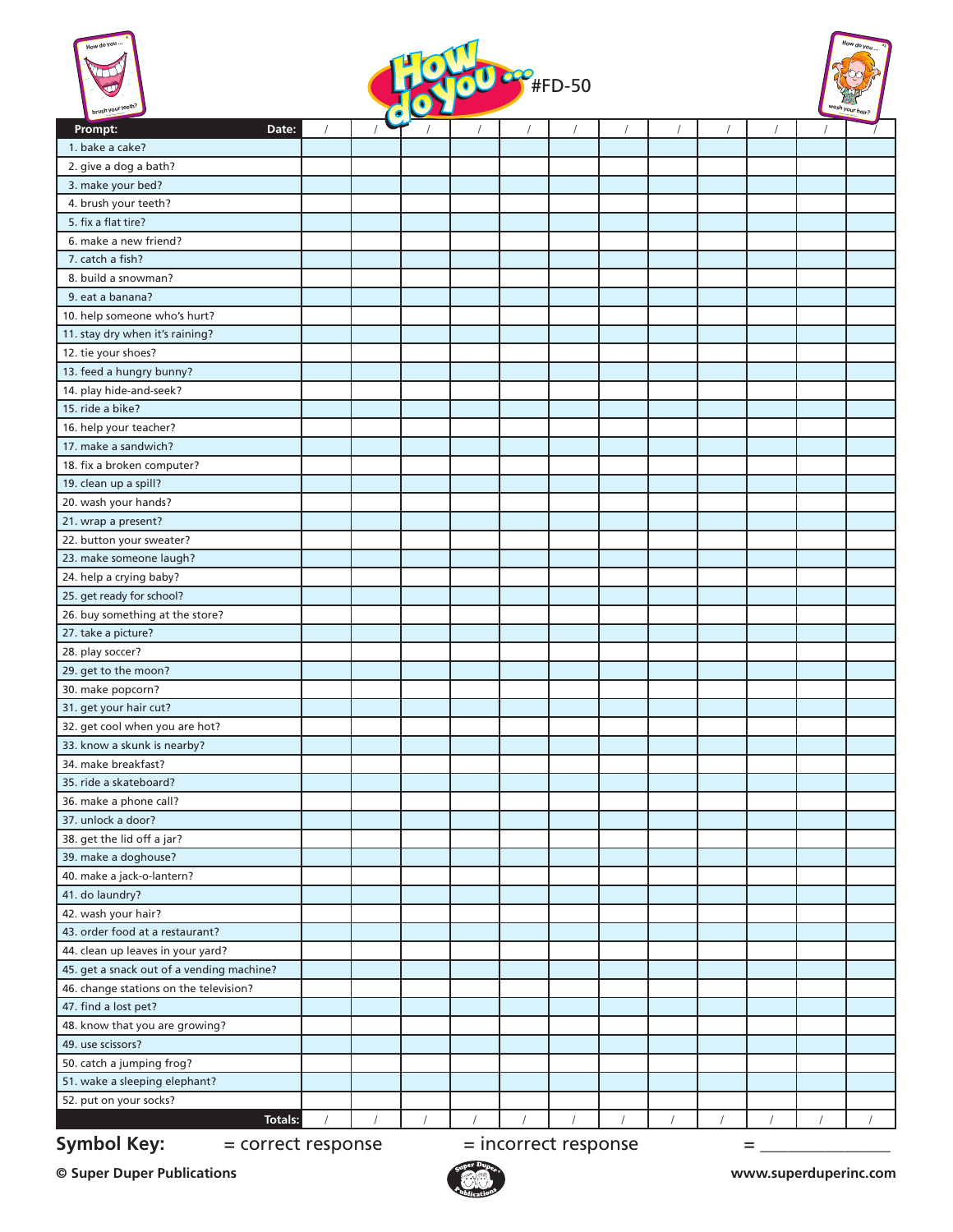





| brush you                                 |                    | $\bullet$ |                      |  |  |   | pour nair? |
|-------------------------------------------|--------------------|-----------|----------------------|--|--|---|------------|
| Prompt:                                   | Date:              |           |                      |  |  |   |            |
| 1. bake a cake?                           |                    |           |                      |  |  |   |            |
| 2. give a dog a bath?                     |                    |           |                      |  |  |   |            |
| 3. make your bed?                         |                    |           |                      |  |  |   |            |
| 4. brush your teeth?                      |                    |           |                      |  |  |   |            |
| 5. fix a flat tire?                       |                    |           |                      |  |  |   |            |
| 6. make a new friend?                     |                    |           |                      |  |  |   |            |
| 7. catch a fish?                          |                    |           |                      |  |  |   |            |
| 8. build a snowman?                       |                    |           |                      |  |  |   |            |
| 9. eat a banana?                          |                    |           |                      |  |  |   |            |
| 10. help someone who's hurt?              |                    |           |                      |  |  |   |            |
| 11. stay dry when it's raining?           |                    |           |                      |  |  |   |            |
| 12. tie your shoes?                       |                    |           |                      |  |  |   |            |
| 13. feed a hungry bunny?                  |                    |           |                      |  |  |   |            |
| 14. play hide-and-seek?                   |                    |           |                      |  |  |   |            |
| 15. ride a bike?                          |                    |           |                      |  |  |   |            |
| 16. help your teacher?                    |                    |           |                      |  |  |   |            |
| 17. make a sandwich?                      |                    |           |                      |  |  |   |            |
| 18. fix a broken computer?                |                    |           |                      |  |  |   |            |
| 19. clean up a spill?                     |                    |           |                      |  |  |   |            |
| 20. wash your hands?                      |                    |           |                      |  |  |   |            |
| 21. wrap a present?                       |                    |           |                      |  |  |   |            |
| 22. button your sweater?                  |                    |           |                      |  |  |   |            |
| 23. make someone laugh?                   |                    |           |                      |  |  |   |            |
| 24. help a crying baby?                   |                    |           |                      |  |  |   |            |
| 25. get ready for school?                 |                    |           |                      |  |  |   |            |
| 26. buy something at the store?           |                    |           |                      |  |  |   |            |
| 27. take a picture?                       |                    |           |                      |  |  |   |            |
| 28. play soccer?                          |                    |           |                      |  |  |   |            |
| 29. get to the moon?                      |                    |           |                      |  |  |   |            |
| 30. make popcorn?                         |                    |           |                      |  |  |   |            |
| 31. get your hair cut?                    |                    |           |                      |  |  |   |            |
| 32. get cool when you are hot?            |                    |           |                      |  |  |   |            |
| 33. know a skunk is nearby?               |                    |           |                      |  |  |   |            |
| 34. make breakfast?                       |                    |           |                      |  |  |   |            |
| 35. ride a skateboard?                    |                    |           |                      |  |  |   |            |
| 36. make a phone call?                    |                    |           |                      |  |  |   |            |
| 37. unlock a door?                        |                    |           |                      |  |  |   |            |
| 38. get the lid off a jar?                |                    |           |                      |  |  |   |            |
| 39. make a doghouse?                      |                    |           |                      |  |  |   |            |
| 40. make a jack-o-lantern?                |                    |           |                      |  |  |   |            |
| 41. do laundry?                           |                    |           |                      |  |  |   |            |
| 42. wash your hair?                       |                    |           |                      |  |  |   |            |
| 43. order food at a restaurant?           |                    |           |                      |  |  |   |            |
| 44. clean up leaves in your yard?         |                    |           |                      |  |  |   |            |
| 45. get a snack out of a vending machine? |                    |           |                      |  |  |   |            |
| 46. change stations on the television?    |                    |           |                      |  |  |   |            |
| 47. find a lost pet?                      |                    |           |                      |  |  |   |            |
| 48. know that you are growing?            |                    |           |                      |  |  |   |            |
| 49. use scissors?                         |                    |           |                      |  |  |   |            |
| 50. catch a jumping frog?                 |                    |           |                      |  |  |   |            |
| 51. wake a sleeping elephant?             |                    |           |                      |  |  |   |            |
| 52. put on your socks?                    |                    |           |                      |  |  |   |            |
|                                           | <b>Totals:</b>     | $\prime$  |                      |  |  |   |            |
| <b>Symbol Key:</b>                        | = correct response |           | = incorrect response |  |  | = |            |
|                                           |                    |           |                      |  |  |   |            |

**© Super Duper Publications www.superduperinc.com**